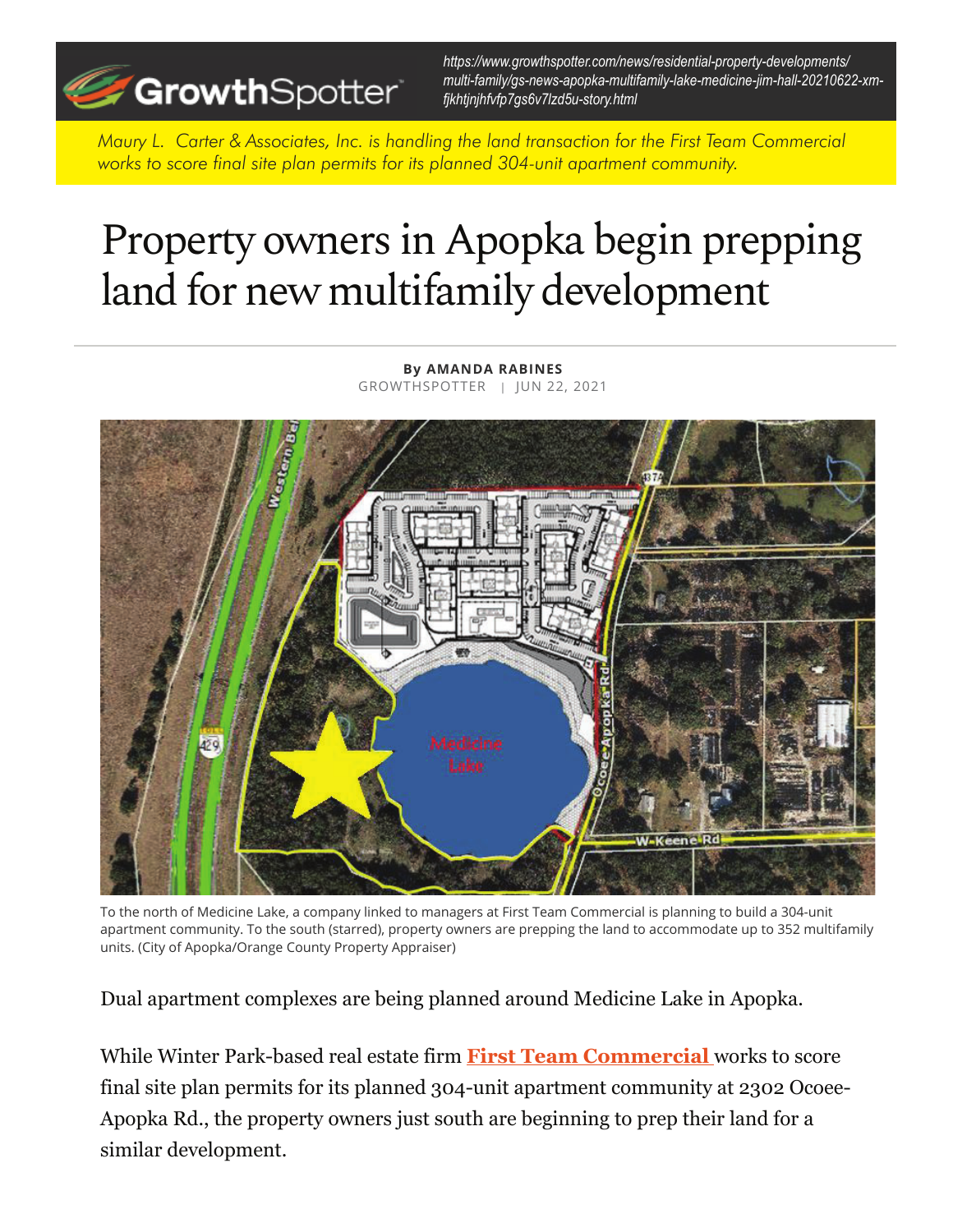

*https://www.growthspotter.com/news/residential-property-developments/ multi-family/gs-news-apopka-multifamily-lake-medicine-jim-hall-20210622-xmfjkhtjnjhfvfp7gs6v7lzd5u-story.html*

*Maury L. Carter & Associates, Inc. is handling the land transaction for the First Team Commercial works to score final site plan permits for its planned 304-unit apartment community.*

## Property owners in Apopka begin prepping land for new multifamily development

**By AMANDA RABINES** GROWTHSPOTTER | JUN 22, 2021



To the north of Medicine Lake, a company linked to managers at First Team Commercial is planning to build a 304-unit apartment community. To the south (starred), property owners are prepping the land to accommodate up to 352 multifamily units. (City of Apopka/Orange County Property Appraiser)

Dual apartment complexes are being planned around Medicine Lake in Apopka.

While Winter Park-based real estate firm **First Team Commercial** works to score final site plan permits for its planned 304-unit apartment community at 2302 Ocoee-Apopka Rd., the property owners just south are beginning to prep their land for a similar development.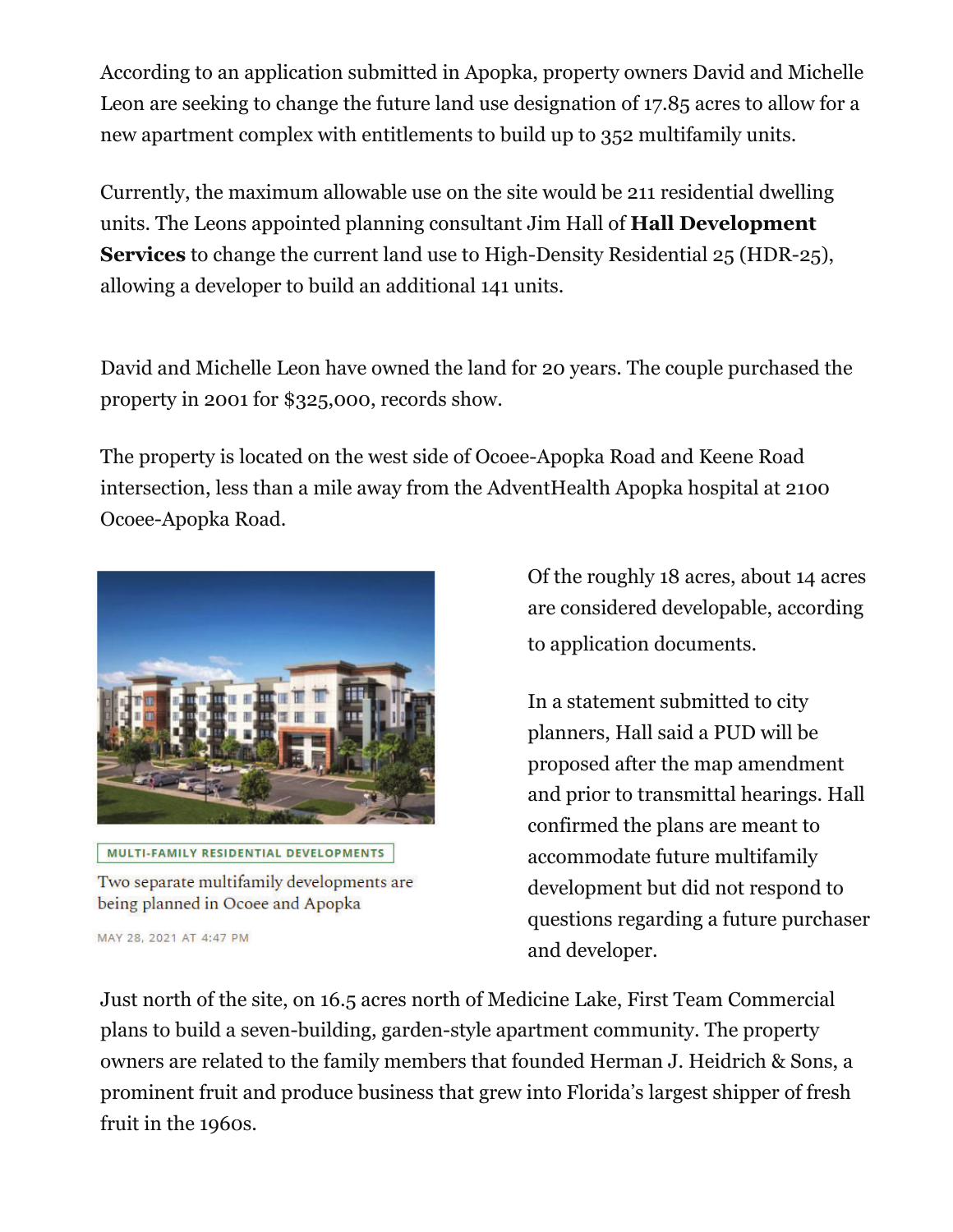According to an application submitted in Apopka, property owners David and Michelle Leon are seeking to change the future land use designation of 17.85 acres to allow for a new apartment complex with entitlements to build up to 352 multifamily units.

Currently, the maximum allowable use on the site would be 211 residential dwelling units. The Leons appointed planning consultant Jim Hall of **Hall Development Services** to change the current land use to High-Density Residential 25 (HDR-25), allowing a developer to build an additional 141 units.

David and Michelle Leon have owned the land for 20 years. The couple purchased the property in 2001 for \$325,000, records show.

The property is located on the west side of Ocoee-Apopka Road and Keene Road intersection, less than a mile away from the AdventHealth Apopka hospital at 2100 Ocoee-Apopka Road.



MULTI-FAMILY RESIDENTIAL DEVELOPMENTS

Two separate multifamily developments are being planned in Ocoee and Apopka

MAY 28, 2021 AT 4:47 PM

Of the roughly 18 acres, about 14 acres are considered developable, according to application documents.

In a statement submitted to city planners, Hall said a PUD will be proposed after the map amendment and prior to transmittal hearings. Hall confirmed the plans are meant to accommodate future multifamily development but did not respond to questions regarding a future purchaser and developer.

Just north of the site, on 16.5 acres north of Medicine Lake, First Team Commercial plans to build a seven-building, garden-style apartment community. The property owners are related to the family members that founded Herman J. Heidrich & Sons, a prominent fruit and produce business that grew into Florida's largest shipper of fresh fruit in the 1960s.